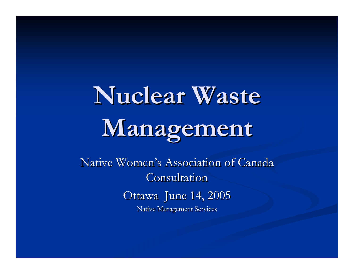# **Nuclear Waste Management Management**

Native Women's Association of Canada Consultation Ottawa June 14, 2005 Native Management Services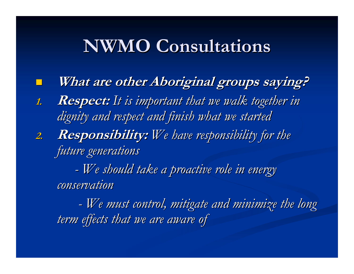#### **NWMO Consultations NWMO Consultations**

- **What are other Aboriginal groups saying? What are other Aboriginal groups saying?**
- **1.Respect:** It is important that we walk together in *dignity and respect and finish what we started dignity and respect and finish what we started*
- **2.Responsibility:** We have responsibility for the *future generations future generations*

*- We should take a proactive role in energy We should take a proactive role in energy conservation conservation*

*- We must control, mitigate and minimize the long We must control, mitigate and minimize the long term effects that we are aware of term effects that we are aware of*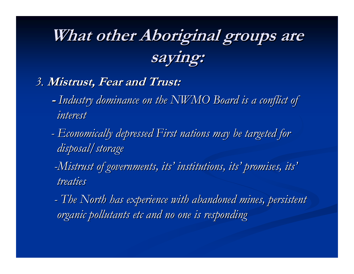## **What other Aboriginal groups are saying: saying:**

- *3.* **Mistrust, Fear and Trust: Mistrust, Fear and Trust:** 
	- **-** *Industry dominance on the NWMO Board is a conflict of Industry dominance on the NWMO Board is a conflict of interest interest*
	- *Economically depressed First nations may be targeted for Economically depressed First nations may be targeted for disposal/storage disposal/storage*
	- *-Mistrust of governments, its Mistrust of governments, its' institutions, its institutions, its' promises, its promises, its' treaties treaties*
	- *- The North has experience with abandoned mines, persistent The North has experience with abandoned mines, persistent organic pollutants etc and no one is responding organic pollutants etc and no one is responding*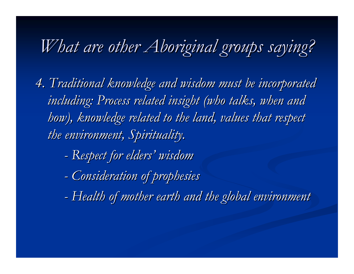#### *What are other Aboriginal groups saying? What are other Aboriginal groups saying?*

*4. Traditional knowledge and wisdom must be incorporated 4. Traditional knowledge and wisdom must be incorporated including: Process related insight (who talks, when and including: Process related insight (who talks, when and*  how), knowledge related to the land, values that respect *the environment, Spirituality. the environment, Spirituality.*

*Respect for elders Respect for elders ' wisdom*

*Consideration of prophesies Consideration of prophesies*

*-Health of mother earth and the global environment Health of mother earth and the global environment*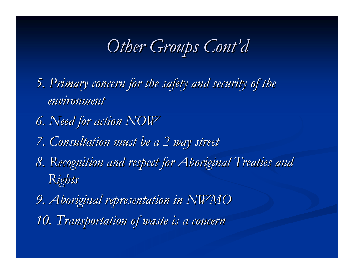## *Other Groups Cont Other Groups Cont 'd*

*5. Primary concern for the safety and security of the environment environment*

- *6. Need for action NOW 6. Need for action NOW*
- *7. Consultation must be a 2 way street 7. Consultation must be a 2 way street*
- 8. Recognition and respect for Aboriginal Treaties and *Rights*

*9. Aboriginal representation in NWMO 9. Aboriginal representation in NWMO 10. Transportation of waste is a concern 10. Transportation of waste is a concern*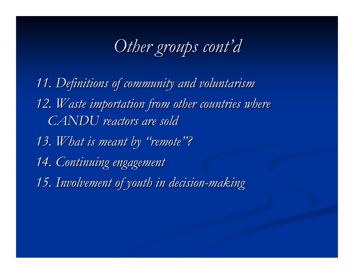## *Other groups cont Other groups cont'd*

*11. Definitions of community and voluntarism 11. Definitions of community and voluntarism* 12. Waste importation from other countries where *CANDU reactors are sold CANDU reactors are sold 13. What is meant by 13. What is meant by "remote"? 14. Continuing engagement 14. Continuing engagement 15. Involvement of youth in decision 15. Involvement of youth in decision-making*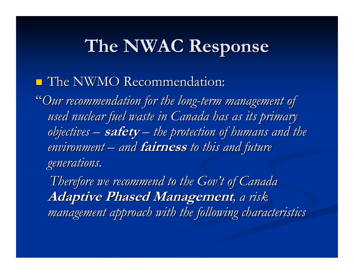#### **The NWAC Response The NWAC Response**

#### **The NWMO Recommendation:**

"Our recommendation for the long-term management of used nuclear fuel waste in Canada has as its primary *objectives*  $\cdot$  **safety** *–* $-$  the protection of humans and the environment – and **fairness** to this and future t *generations. generations.*

Therefore we recommend to the Gov't of Canada **Adaptive Phased Management Adaptive Phased Management***, a risk , a risk management approach with the following characteristics management approach with the following characteristics*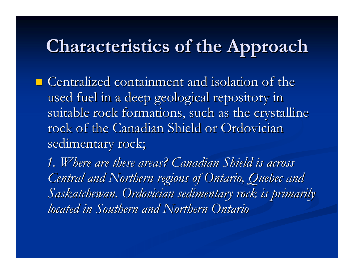#### **Characteristics of the Approach Characteristics of the Approach**

 $\blacksquare$  Centralized containment and isolation of the used fuel in a deep geological repository in suitable rock formations, such as the crystalline rock of the Canadian Shield or Ordovician sedimentary rock;

*1. Where are these areas? Canadian Shield is across 1. Where are these areas? Canadian Shield is across Central and Northern regions of Ontario, Quebec and Saskatchewan. Ordovician sedimentary rock is primarily located in Southern and Northern Ontario located in Southern and Northern Ontario*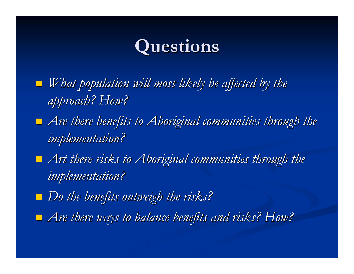#### **Questions Questions**

- $\blacksquare$ *What population will most likely be affected by the approach? How? approach? How?*
- $\blacksquare$  Are there benefits to Aboriginal communities through the *implementation? implementation?*
- *Art there risks to Aboriginal communities through the Art there risks to Aboriginal communities through the implementation? implementation?*
- *Do the benefits outweigh the risks? Do the benefits outweigh the risks?*
- *Are there ways to balance benefits and risks? How? Are there ways to balance benefits and risks? How?*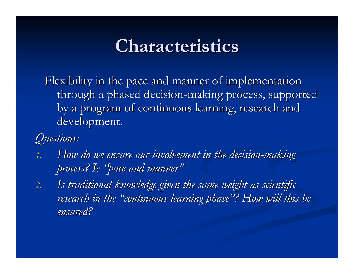#### **Characteristics**

Flexibility in the pace and manner of implementation through a phased decision-making process, supported by a program of continuous learning, research and development.

#### *Questions: Questions:*

- *1. How do we ensure our involvement in the decision How do we ensure our involvement in the decision -making process? process? Ie "pace and manner pace and manner "*
- 2. Is traditional knowledge given the same weight as scientific *research in the research in the "continuous learning phase continuous learning phase "? How will this be ? How will this be ensured? ensured?*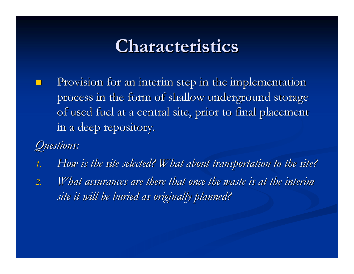#### **Characteristics Characteristics**

- Provision for an interim step in the implementation process in the form of shallow underground storage of used fuel at a central site, prior to final placement in a deep repository.
- *Questions: Questions:*
- *1. How is the site selected? What about transportation to the site?*
- 2. *What assurances are there that once the waste is at the interim site it will be buried as originally planned? site it will be buried as originally planned?*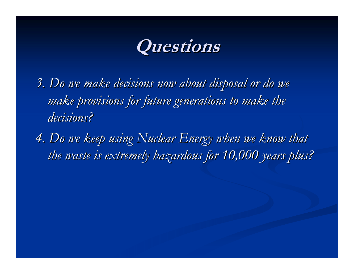

*3. Do we make decisions now about disposal or do we 3. Do we make decisions now about disposal or do we*  make provisions for future generations to make the *decisions? decisions?*

*4. Do we keep using Nuclear Energy when we know that 4. Do we keep using Nuclear Energy when we know that the waste is extremely hazardous for 10,000 years plus? the waste is extremely hazardous for 10,000 years plus?*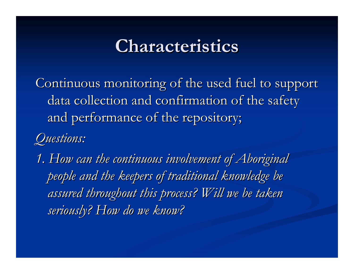#### **Characteristics Characteristics**

Continuous monitoring of the used fuel to support data collection and confirmation of the safety and performance of the repository;

*Questions: Questions:*

*1. How can the continuous involvement of Aboriginal 1. How can the continuous involvement of Aboriginal*  people and the keepers of traditional knowledge be assured throughout this process? Will we be taken *seriously? How do we know? seriously? How do we know?*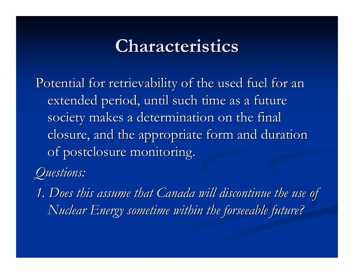#### **Characteristics Characteristics**

Potential for retrievability of the used fuel for an extended period, until such time as a future society makes a determination on the final closure, and the appropriate form and duration closure, and the appropriate form and duration of postclosure monitoring.

*Questions: Questions:*

*1. Does this assume that Canada will discontinue the use of 1. Does this assume that Canada will discontinue the use of Nuclear Energy sometime within the forseeable future?*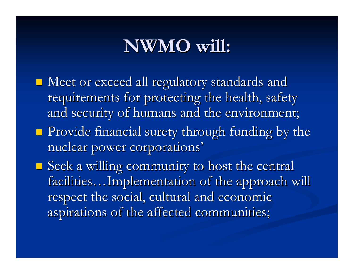#### **NWMO will: NWMO will:**

 $\blacksquare$  Meet or exceed all regulatory standards and requirements for protecting the health, safety and security of humans and the environment;  $\blacksquare$  Provide financial surety through funding by the nuclear power corporations'  $\blacksquare$  Seek a willing community to host the central facilities...Implementation of the approach will respect the social, cultural and economic aspirations of the affected communities;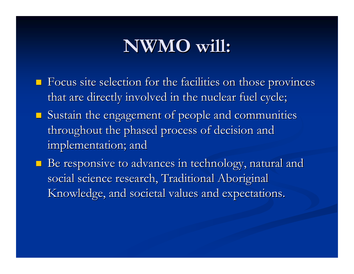#### **NWMO will: NWMO will:**

- $\blacksquare$  Focus site selection for the facilities on those provinces that are directly involved in the nuclear fuel cycle;
- $\blacksquare$  Sustain the engagement of people and communities throughout the phased process of decision and implementation; and
- $\blacksquare$  Be responsive to advances in technology, natural and social science research, Traditional Aboriginal Knowledge, and societal values and expectations.